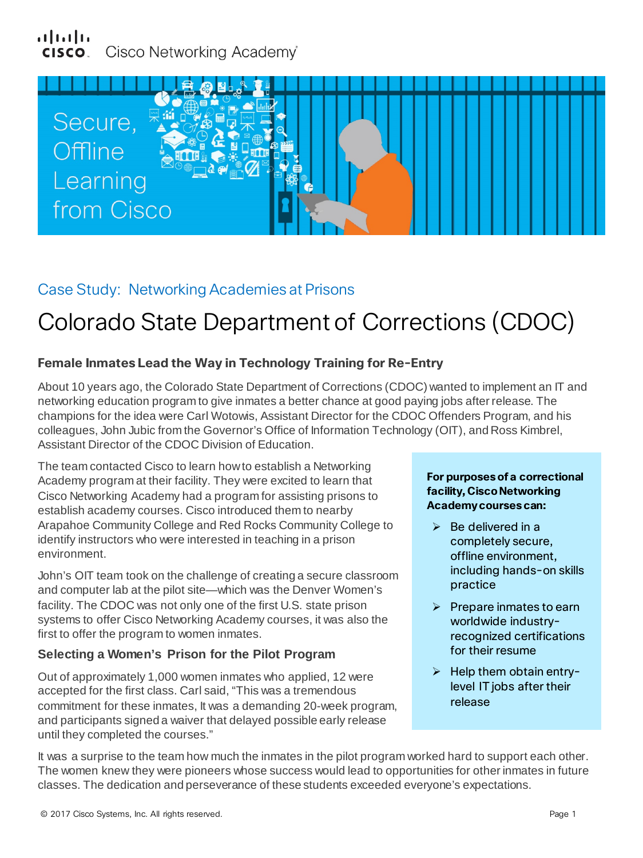# بتلبيان Cisco Networking Academy®



# Case Study: Networking Academies at Prisons

# Colorado State Department of Corrections (CDOC)

# **Female Inmates Lead the Way in Technology Training for Re-Entry**

About 10 years ago, the Colorado State Department of Corrections (CDOC) wanted to implement an IT and networking education program to give inmates a better chance at good paying jobs after release. The champions for the idea were Carl Wotowis, Assistant Director for the CDOC Offenders Program, and his colleagues, John Jubic from the Governor's Office of Information Technology (OIT), and Ross Kimbrel, Assistant Director of the CDOC Division of Education.

The team contacted Cisco to learn how to establish a Networking Academy program at their facility. They were excited to learn that Cisco Networking Academy had a program for assisting prisons to establish academy courses. Cisco introduced them to nearby Arapahoe Community College and Red Rocks Community College to identify instructors who were interested in teaching in a prison environment.

John's OIT team took on the challenge of creating a secure classroom and computer lab at the pilot site—which was the Denver Women's facility. The CDOC was not only one of the first U.S. state prison systems to offer Cisco Networking Academy courses, it was also the first to offer the program to women inmates.

## **Selecting a Women's Prison for the Pilot Program**

Out of approximately 1,000 women inmates who applied, 12 were accepted for the first class. Carl said, "This was a tremendous commitment for these inmates, It was a demanding 20-week program, and participants signed a waiver that delayed possible early release until they completed the courses."

#### **For purposes of a correctional facility, Cisco Networking Academy courses can:**

- $\triangleright$  Be delivered in a completely secure, offline environment, including hands-on skills practice
- $\triangleright$  Prepare inmates to earn worldwide industryrecognized certifications for their resume
- $\triangleright$  Help them obtain entrylevel IT jobs after their release

It was a surprise to the team how much the inmates in the pilot program worked hard to support each other. The women knew they were pioneers whose success would lead to opportunities for other inmates in future classes. The dedication and perseverance of these students exceeded everyone's expectations.